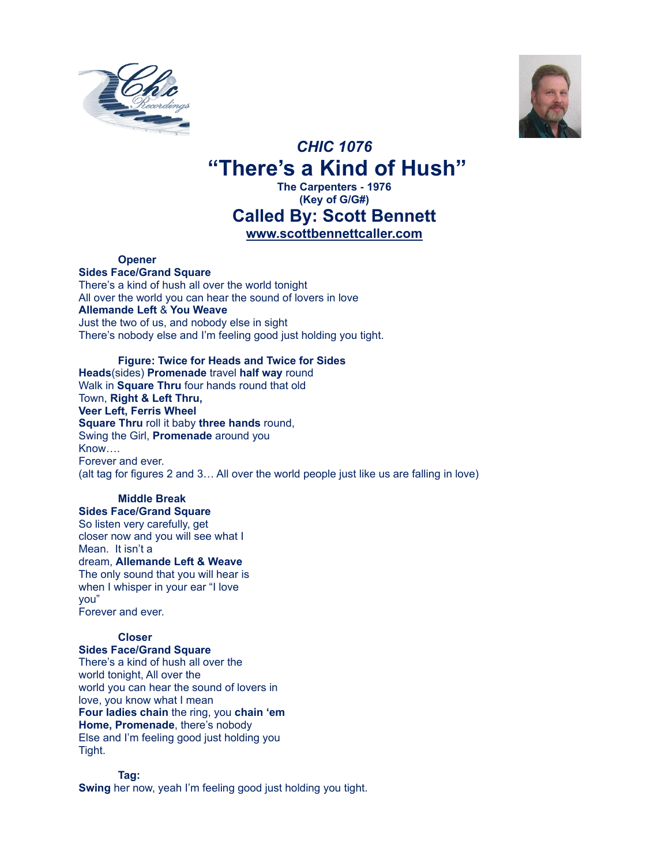



# *CHIC 1076* **"There's a Kind of Hush" The Carpenters - 1976**

## **(Key of G/G#) Called By: Scott Bennett [www.scottbennettcaller.com](http://www.scottbennettcaller.com/)**

**Opener**

**Sides Face/Grand Square** There's a kind of hush all over the world tonight All over the world you can hear the sound of lovers in love **Allemande Left** & **You Weave** Just the two of us, and nobody else in sight There's nobody else and I'm feeling good just holding you tight.

#### **Figure: Twice for Heads and Twice for Sides**

**Heads**(sides) **Promenade** travel **half way** round Walk in **Square Thru** four hands round that old Town, **Right & Left Thru, Veer Left, Ferris Wheel Square Thru** roll it baby **three hands** round, Swing the Girl, **Promenade** around you Know…. Forever and ever. (alt tag for figures 2 and 3… All over the world people just like us are falling in love)

## **Middle Break**

**Sides Face/Grand Square** So listen very carefully, get closer now and you will see what I Mean. It isn't a dream, **Allemande Left & Weave** The only sound that you will hear is when I whisper in your ear "I love you" Forever and ever.

## **Closer**

**Sides Face/Grand Square** There's a kind of hush all over the world tonight, All over the world you can hear the sound of lovers in love, you know what I mean **Four ladies chain** the ring, you **chain 'em Home, Promenade**, there's nobody Else and I'm feeling good just holding you Tight.

## **Tag:**

**Swing** her now, yeah I'm feeling good just holding you tight.